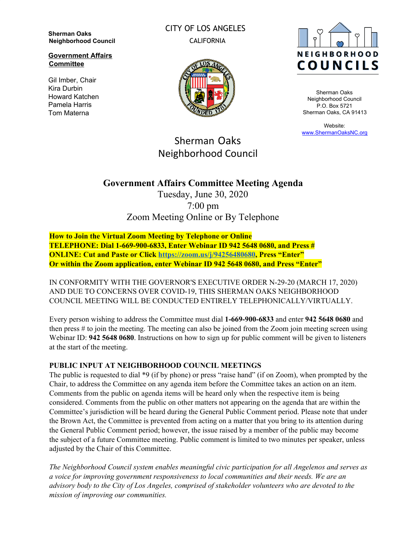**Sherman Oaks Neighborhood Council**

**Government Affairs Committee**

Gil Imber, Chair Kira Durbin Howard Katchen Pamela Harris Tom Materna

CITY OF LOS ANGELES CALIFORNIA





Sherman Oaks Neighborhood Council P.O. Box 5721 Sherman Oaks, CA 91413

Website: [www.ShermanOaksNC.org](http://www.shermanoaksnc.org/)

# Sherman Oaks Neighborhood Council

## **Government Affairs Committee Meeting Agenda**

Tuesday, June 30, 2020 7:00 pm Zoom Meeting Online or By Telephone

**How to Join the Virtual Zoom Meeting by Telephone or Online TELEPHONE: Dial 1-669-900-6833, Enter Webinar ID 942 5648 0680, and Press # ONLINE: Cut and Paste or Click [https://zoom.us/j/94256480680,](https://zoom.us/j/94256480680) Press "Enter" Or within the Zoom application, enter Webinar ID 942 5648 0680, and Press "Enter"**

IN CONFORMITY WITH THE GOVERNOR'S EXECUTIVE ORDER N-29-20 (MARCH 17, 2020) AND DUE TO CONCERNS OVER COVID-19, THIS SHERMAN OAKS NEIGHBORHOOD COUNCIL MEETING WILL BE CONDUCTED ENTIRELY TELEPHONICALLY/VIRTUALLY.

Every person wishing to address the Committee must dial **1-669-900-6833** and enter **942 5648 0680** and then press # to join the meeting. The meeting can also be joined from the Zoom join meeting screen using Webinar ID: **942 5648 0680**. Instructions on how to sign up for public comment will be given to listeners at the start of the meeting.

#### **PUBLIC INPUT AT NEIGHBORHOOD COUNCIL MEETINGS**

The public is requested to dial \*9 (if by phone) or press "raise hand" (if on Zoom), when prompted by the Chair, to address the Committee on any agenda item before the Committee takes an action on an item. Comments from the public on agenda items will be heard only when the respective item is being considered. Comments from the public on other matters not appearing on the agenda that are within the Committee's jurisdiction will be heard during the General Public Comment period. Please note that under the Brown Act, the Committee is prevented from acting on a matter that you bring to its attention during the General Public Comment period; however, the issue raised by a member of the public may become the subject of a future Committee meeting. Public comment is limited to two minutes per speaker, unless adjusted by the Chair of this Committee.

*The Neighborhood Council system enables meaningful civic participation for all Angelenos and serves as a voice for improving government responsiveness to local communities and their needs. We are an advisory body to the City of Los Angeles, comprised of stakeholder volunteers who are devoted to the mission of improving our communities.*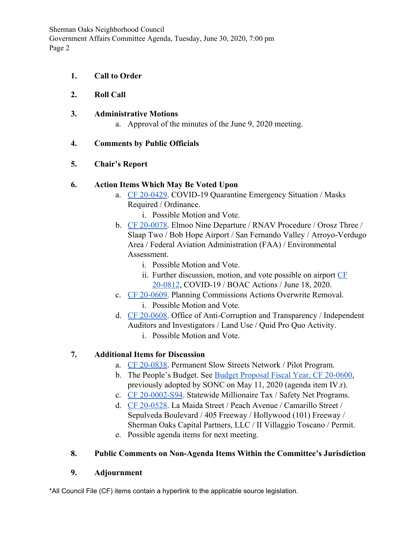Sherman Oaks Neighborhood Council Government Affairs Committee Agenda, Tuesday, June 30, 2020, 7:00 pm Page 2

- **1. Call to Order**
- **2. Roll Call**
- **3. Administrative Motions**
	- a. Approval of the minutes of the June 9, 2020 meeting.

### **4. Comments by Public Officials**

### **5. Chair's Report**

### **6. Action Items Which May Be Voted Upon**

- a. [CF 20-0429](https://cityclerk.lacity.org/lacityclerkconnect/index.cfm?fa=ccfi.viewrecord&cfnumber=20-0429). COVID-19 Quarantine Emergency Situation / Masks Required / Ordinance.
	- i. Possible Motion and Vote.
- b. [CF 20-0078](https://cityclerk.lacity.org/lacityclerkconnect/index.cfm?fa=ccfi.viewrecord&cfnumber=20-0078). Elmoo Nine Departure / RNAV Procedure / Orosz Three / Slaap Two / Bob Hope Airport / San Fernando Valley / Arroyo-Verdugo Area / Federal Aviation Administration (FAA) / Environmental Assessment.
	- i. Possible Motion and Vote.
	- ii. Further discussion, motion, and vote possible on airport [CF](https://cityclerk.lacity.org/lacityclerkconnect/index.cfm?fa=ccfi.viewrecord&cfnumber=20-0812) [20-0812](https://cityclerk.lacity.org/lacityclerkconnect/index.cfm?fa=ccfi.viewrecord&cfnumber=20-0812), COVID-19 / BOAC Actions / June 18, 2020.
- c. [CF 20-0609](https://cityclerk.lacity.org/lacityclerkconnect/index.cfm?fa=ccfi.viewrecord&cfnumber=20-0609). Planning Commissions Actions Overwrite Removal.
	- i. Possible Motion and Vote.
- d. [CF 20-0608](https://cityclerk.lacity.org/lacityclerkconnect/index.cfm?fa=ccfi.viewrecord&cfnumber=20-0608). Office of Anti-Corruption and Transparency / Independent Auditors and Investigators / Land Use / Quid Pro Quo Activity. i. Possible Motion and Vote.
- 
- **7. Additional Items for Discussion**
	- a. [CF 20-0838](https://cityclerk.lacity.org/lacityclerkconnect/index.cfm?fa=ccfi.viewrecord&cfnumber=20-0838). Permanent Slow Streets Network / Pilot Program.
	- b. The People's Budget. See [Budget Proposal Fiscal Year, CF 20-0600](https://cityclerk.lacity.org/lacityclerkconnect/index.cfm?fa=ccfi.viewrecord&cfnumber=20-0600), previously adopted by SONC on May 11, 2020 (agenda item IV.r).
	- c. [CF 20-0002-S94](https://cityclerk.lacity.org/lacityclerkconnect/index.cfm?fa=ccfi.viewrecord&cfnumber=20-0002-S94). Statewide Millionaire Tax / Safety Net Programs.
	- d. [CF 20-0528](https://cityclerk.lacity.org/lacityclerkconnect/index.cfm?fa=ccfi.viewrecord&cfnumber=20-0528). La Maida Street / Peach Avenue / Camarillo Street / Sepulveda Boulevard / 405 Freeway / Hollywood (101) Freeway / Sherman Oaks Capital Partners, LLC / II Villaggio Toscano / Permit.
	- e. Possible agenda items for next meeting.

## **8. Public Comments on Non-Agenda Items Within the Committee's Jurisdiction**

## **9. Adjournment**

\*All Council File (CF) items contain a hyperlink to the applicable source legislation.